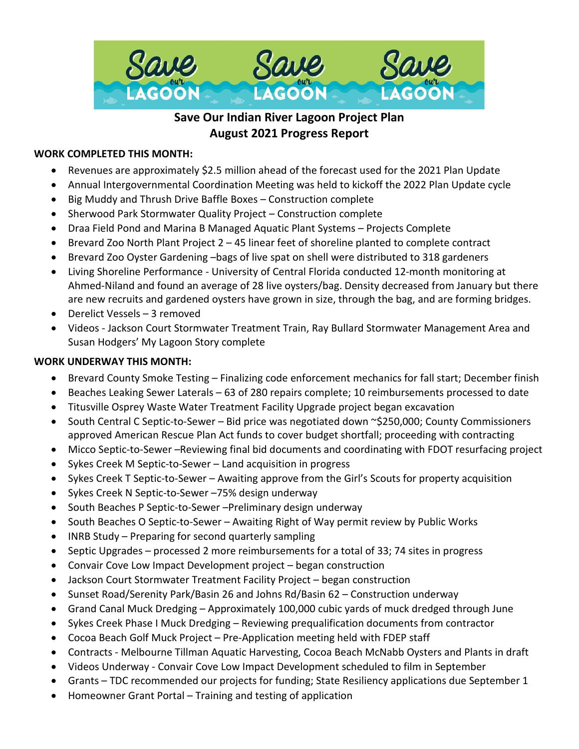

# **Save Our Indian River Lagoon Project Plan August 2021 Progress Report**

# **WORK COMPLETED THIS MONTH:**

- Revenues are approximately \$2.5 million ahead of the forecast used for the 2021 Plan Update
- Annual Intergovernmental Coordination Meeting was held to kickoff the 2022 Plan Update cycle
- Big Muddy and Thrush Drive Baffle Boxes Construction complete
- Sherwood Park Stormwater Quality Project Construction complete
- Draa Field Pond and Marina B Managed Aquatic Plant Systems Projects Complete
- Brevard Zoo North Plant Project 2 45 linear feet of shoreline planted to complete contract
- Brevard Zoo Oyster Gardening –bags of live spat on shell were distributed to 318 gardeners
- Living Shoreline Performance University of Central Florida conducted 12-month monitoring at Ahmed-Niland and found an average of 28 live oysters/bag. Density decreased from January but there are new recruits and gardened oysters have grown in size, through the bag, and are forming bridges.
- Derelict Vessels 3 removed
- Videos Jackson Court Stormwater Treatment Train, Ray Bullard Stormwater Management Area and Susan Hodgers' My Lagoon Story complete

# **WORK UNDERWAY THIS MONTH:**

- Brevard County Smoke Testing Finalizing code enforcement mechanics for fall start; December finish
- Beaches Leaking Sewer Laterals 63 of 280 repairs complete; 10 reimbursements processed to date
- Titusville Osprey Waste Water Treatment Facility Upgrade project began excavation
- South Central C Septic-to-Sewer Bid price was negotiated down ~\$250,000; County Commissioners approved American Rescue Plan Act funds to cover budget shortfall; proceeding with contracting
- Micco Septic-to-Sewer –Reviewing final bid documents and coordinating with FDOT resurfacing project
- Sykes Creek M Septic-to-Sewer Land acquisition in progress
- Sykes Creek T Septic-to-Sewer Awaiting approve from the Girl's Scouts for property acquisition
- Sykes Creek N Septic-to-Sewer –75% design underway
- South Beaches P Septic-to-Sewer –Preliminary design underway
- South Beaches O Septic-to-Sewer Awaiting Right of Way permit review by Public Works
- INRB Study Preparing for second quarterly sampling
- Septic Upgrades processed 2 more reimbursements for a total of 33; 74 sites in progress
- Convair Cove Low Impact Development project began construction
- Jackson Court Stormwater Treatment Facility Project began construction
- Sunset Road/Serenity Park/Basin 26 and Johns Rd/Basin 62 Construction underway
- Grand Canal Muck Dredging Approximately 100,000 cubic yards of muck dredged through June
- Sykes Creek Phase I Muck Dredging Reviewing prequalification documents from contractor
- Cocoa Beach Golf Muck Project Pre-Application meeting held with FDEP staff
- Contracts Melbourne Tillman Aquatic Harvesting, Cocoa Beach McNabb Oysters and Plants in draft
- Videos Underway Convair Cove Low Impact Development scheduled to film in September
- Grants TDC recommended our projects for funding; State Resiliency applications due September 1
- Homeowner Grant Portal Training and testing of application